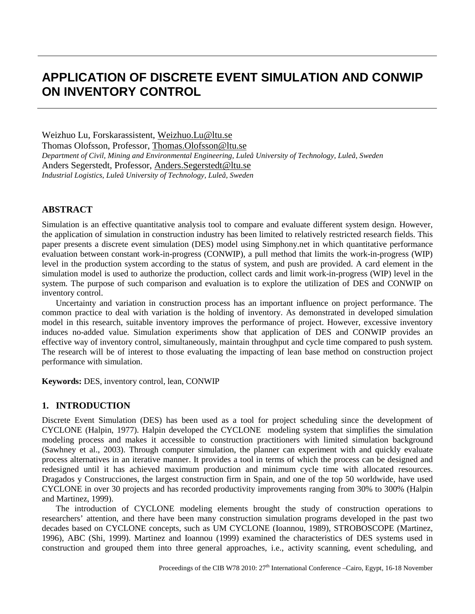# **APPLICATION OF DISCRETE EVENT SIMULATION AND CONWIP ON INVENTORY CONTROL**

Weizhuo Lu, Forskarassistent, Weizhuo.Lu@ltu.se Thomas Olofsson, Professor, Thomas.Olofsson@ltu.se *Department of Civil, Mining and Environmental Engineering, Luleå University of Technology, Luleå, Sweden* Anders Segerstedt, Professor, Anders.Segerstedt@ltu.se *Industrial Logistics, Luleå University of Technology, Luleå, Sweden*

# **ABSTRACT**

Simulation is an effective quantitative analysis tool to compare and evaluate different system design. However, the application of simulation in construction industry has been limited to relatively restricted research fields. This paper presents a discrete event simulation (DES) model using Simphony.net in which quantitative performance evaluation between constant work-in-progress (CONWIP), a pull method that limits the work-in-progress (WIP) level in the production system according to the status of system, and push are provided. A card element in the simulation model is used to authorize the production, collect cards and limit work-in-progress (WIP) level in the system. The purpose of such comparison and evaluation is to explore the utilization of DES and CONWIP on inventory control.

Uncertainty and variation in construction process has an important influence on project performance. The common practice to deal with variation is the holding of inventory. As demonstrated in developed simulation model in this research, suitable inventory improves the performance of project. However, excessive inventory induces no-added value. Simulation experiments show that application of DES and CONWIP provides an effective way of inventory control, simultaneously, maintain throughput and cycle time compared to push system. The research will be of interest to those evaluating the impacting of lean base method on construction project performance with simulation.

**Keywords:** DES, inventory control, lean, CONWIP

## **1. INTRODUCTION**

Discrete Event Simulation (DES) has been used as a tool for project scheduling since the development of CYCLONE (Halpin, 1977). Halpin developed the CYCLONE modeling system that simplifies the simulation modeling process and makes it accessible to construction practitioners with limited simulation background (Sawhney et al., 2003). Through computer simulation, the planner can experiment with and quickly evaluate process alternatives in an iterative manner. It provides a tool in terms of which the process can be designed and redesigned until it has achieved maximum production and minimum cycle time with allocated resources. Dragados y Construcciones, the largest construction firm in Spain, and one of the top 50 worldwide, have used CYCLONE in over 30 projects and has recorded productivity improvements ranging from 30% to 300% (Halpin and Martinez, 1999).

The introduction of CYCLONE modeling elements brought the study of construction operations to researchers' attention, and there have been many construction simulation programs developed in the past two decades based on CYCLONE concepts, such as UM CYCLONE (Ioannou, 1989), STROBOSCOPE (Martinez, 1996), ABC (Shi, 1999). Martinez and Ioannou (1999) examined the characteristics of DES systems used in construction and grouped them into three general approaches, i.e., activity scanning, event scheduling, and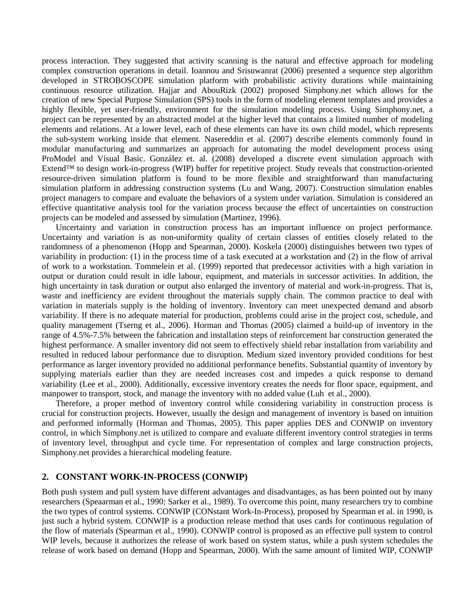process interaction. They suggested that activity scanning is the natural and effective approach for modeling complex construction operations in detail. Ioannou and Srisuwanrat (2006) presented a sequence step algorithm developed in STROBOSCOPE simulation platform with probabilistic activity durations while maintaining continuous resource utilization. Hajjar and AbouRizk (2002) proposed Simphony.net which allows for the creation of new Special Purpose Simulation (SPS) tools in the form of modeling element templates and provides a highly flexible, yet user-friendly, environment for the simulation modeling process. Using Simphony.net, a project can be represented by an abstracted model at the higher level that contains a limited number of modeling elements and relations. At a lower level, each of these elements can have its own child model, which represents the sub-system working inside that element. Nasereddin et al. (2007) describe elements commonly found in modular manufacturing and summarizes an approach for automating the model development process using ProModel and Visual Basic. González et. al. (2008) developed a discrete event simulation approach with Extend™ to design work-in-progress (WIP) buffer for repetitive project. Study reveals that construction-oriented resource-driven simulation platform is found to be more flexible and straightforward than manufacturing simulation platform in addressing construction systems (Lu and Wang, 2007). Construction simulation enables project managers to compare and evaluate the behaviors of a system under variation. Simulation is considered an effective quantitative analysis tool for the variation process because the effect of uncertainties on construction projects can be modeled and assessed by simulation (Martinez, 1996).

Uncertainty and variation in construction process has an important influence on project performance. Uncertainty and variation is as non-uniformity quality of certain classes of entities closely related to the randomness of a phenomenon (Hopp and Spearman, 2000). Koskela (2000) distinguishes between two types of variability in production: (1) in the process time of a task executed at a workstation and (2) in the flow of arrival of work to a workstation. Tommelein et al. (1999) reported that predecessor activities with a high variation in output or duration could result in idle labour, equipment, and materials in successor activities. In addition, the high uncertainty in task duration or output also enlarged the inventory of material and work-in-progress. That is, waste and inefficiency are evident throughout the materials supply chain. The common practice to deal with variation in materials supply is the holding of inventory. Inventory can meet unexpected demand and absorb variability. If there is no adequate material for production, problems could arise in the project cost, schedule, and quality management (Tserng et al., 2006). Horman and Thomas (2005) claimed a build-up of inventory in the range of 4.5%-7.5% between the fabrication and installation steps of reinforcement bar construction generated the highest performance. A smaller inventory did not seem to effectively shield rebar installation from variability and resulted in reduced labour performance due to disruption. Medium sized inventory provided conditions for best performance as larger inventory provided no additional performance benefits. Substantial quantity of inventory by supplying materials earlier than they are needed increases cost and impedes a quick response to demand variability (Lee et al., 2000). Additionally, excessive inventory creates the needs for floor space, equipment, and manpower to transport, stock, and manage the inventory with no added value (Luh et al., 2000).

Therefore, a proper method of inventory control while considering variability in construction process is crucial for construction projects. However, usually the design and management of inventory is based on intuition and performed informally (Horman and Thomas, 2005). This paper applies DES and CONWIP on inventory control, in which Simphony.net is utilized to compare and evaluate different inventory control strategies in terms of inventory level, throughput and cycle time. For representation of complex and large construction projects, Simphony.net provides a hierarchical modeling feature.

## **2. CONSTANT WORK-IN-PROCESS (CONWIP)**

Both push system and pull system have different advantages and disadvantages, as has been pointed out by many researchers (Speaarman et al., 1990; Sarker et al., 1989). To overcome this point, many researchers try to combine the two types of control systems. CONWIP (CONstant Work-In-Process), proposed by Spearman et al. in 1990, is just such a hybrid system. CONWIP is a production release method that uses cards for continuous regulation of the flow of materials (Spearman et al., 1990). CONWIP control is proposed as an effective pull system to control WIP levels, because it authorizes the release of work based on system status, while a push system schedules the release of work based on demand (Hopp and Spearman, 2000). With the same amount of limited WIP, CONWIP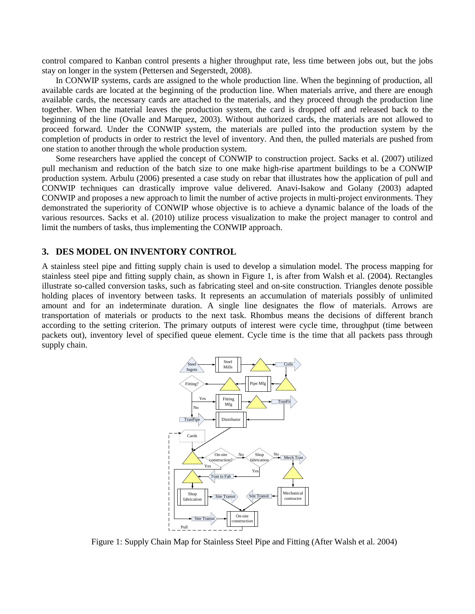control compared to Kanban control presents a higher throughput rate, less time between jobs out, but the jobs stay on longer in the system (Pettersen and Segerstedt, 2008).

In CONWIP systems, cards are assigned to the whole production line. When the beginning of production, all available cards are located at the beginning of the production line. When materials arrive, and there are enough available cards, the necessary cards are attached to the materials, and they proceed through the production line together. When the material leaves the production system, the card is dropped off and released back to the beginning of the line (Ovalle and Marquez, 2003). Without authorized cards, the materials are not allowed to proceed forward. Under the CONWIP system, the materials are pulled into the production system by the completion of products in order to restrict the level of inventory. And then, the pulled materials are pushed from one station to another through the whole production system.

Some researchers have applied the concept of CONWIP to construction project. Sacks et al. (2007) utilized pull mechanism and reduction of the batch size to one make high-rise apartment buildings to be a CONWIP production system. Arbulu (2006) presented a case study on rebar that illustrates how the application of pull and CONWIP techniques can drastically improve value delivered. Anavi-Isakow and Golany (2003) adapted CONWIP and proposes a new approach to limit the number of active projects in multi-project environments. They demonstrated the superiority of CONWIP whose objective is to achieve a dynamic balance of the loads of the various resources. Sacks et al. (2010) utilize process visualization to make the project manager to control and limit the numbers of tasks, thus implementing the CONWIP approach.

#### **3. DES MODEL ON INVENTORY CONTROL**

A stainless steel pipe and fitting supply chain is used to develop a simulation model. The process mapping for stainless steel pipe and fitting supply chain, as shown in Figure 1, is after from Walsh et al. (2004). Rectangles illustrate so-called conversion tasks, such as fabricating steel and on-site construction. Triangles denote possible holding places of inventory between tasks. It represents an accumulation of materials possibly of unlimited amount and for an indeterminate duration. A single line designates the flow of materials. Arrows are transportation of materials or products to the next task. Rhombus means the decisions of different branch according to the setting criterion. The primary outputs of interest were cycle time, throughput (time between packets out), inventory level of specified queue element. Cycle time is the time that all packets pass through supply chain.



Figure 1: Supply Chain Map for Stainless Steel Pipe and Fitting (After Walsh et al. 2004)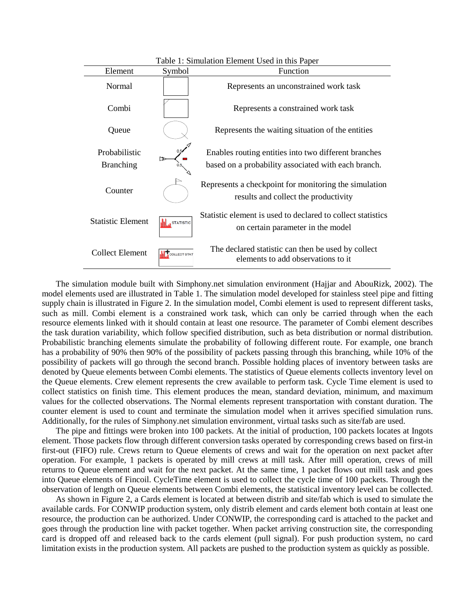| Table 1: Simulation Element Used in this Paper |                       |                                                                                                             |
|------------------------------------------------|-----------------------|-------------------------------------------------------------------------------------------------------------|
| Element                                        | Symbol                | Function                                                                                                    |
| Normal                                         |                       | Represents an unconstrained work task                                                                       |
| Combi                                          |                       | Represents a constrained work task                                                                          |
| Queue                                          |                       | Represents the waiting situation of the entities                                                            |
| Probabilistic<br><b>Branching</b>              | 0.5                   | Enables routing entities into two different branches<br>based on a probability associated with each branch. |
| Counter                                        |                       | Represents a checkpoint for monitoring the simulation<br>results and collect the productivity               |
| <b>Statistic Element</b>                       | <b>I</b> STATISTIC    | Statistic element is used to declared to collect statistics<br>on certain parameter in the model            |
| Collect Element                                | <b>T</b> COLLECT STAT | The declared statistic can then be used by collect<br>elements to add observations to it                    |

The simulation module built with Simphony.net simulation environment (Hajjar and AbouRizk, 2002). The model elements used are illustrated in Table 1. The simulation model developed for stainless steel pipe and fitting supply chain is illustrated in Figure 2. In the simulation model, Combi element is used to represent different tasks, such as mill. Combi element is a constrained work task, which can only be carried through when the each resource elements linked with it should contain at least one resource. The parameter of Combi element describes the task duration variability, which follow specified distribution, such as beta distribution or normal distribution. Probabilistic branching elements simulate the probability of following different route. For example, one branch has a probability of 90% then 90% of the possibility of packets passing through this branching, while 10% of the possibility of packets will go through the second branch. Possible holding places of inventory between tasks are denoted by Queue elements between Combi elements. The statistics of Queue elements collects inventory level on the Queue elements. Crew element represents the crew available to perform task. Cycle Time element is used to collect statistics on finish time. This element produces the mean, standard deviation, minimum, and maximum values for the collected observations. The Normal elements represent transportation with constant duration. The counter element is used to count and terminate the simulation model when it arrives specified simulation runs. Additionally, for the rules of Simphony.net simulation environment, virtual tasks such as site/fab are used.

The pipe and fittings were broken into 100 packets. At the initial of production, 100 packets locates at Ingots element. Those packets flow through different conversion tasks operated by corresponding crews based on first-in first-out (FIFO) rule. Crews return to Queue elements of crews and wait for the operation on next packet after operation. For example, 1 packets is operated by mill crews at mill task. After mill operation, crews of mill returns to Queue element and wait for the next packet. At the same time, 1 packet flows out mill task and goes into Queue elements of Fincoil. CycleTime element is used to collect the cycle time of 100 packets. Through the observation of length on Queue elements between Combi elements, the statistical inventory level can be collected.

As shown in Figure 2, a Cards element is located at between distrib and site/fab which is used to simulate the available cards. For CONWIP production system, only distrib element and cards element both contain at least one resource, the production can be authorized. Under CONWIP, the corresponding card is attached to the packet and goes through the production line with packet together. When packet arriving construction site, the corresponding card is dropped off and released back to the cards element (pull signal). For push production system, no card limitation exists in the production system. All packets are pushed to the production system as quickly as possible.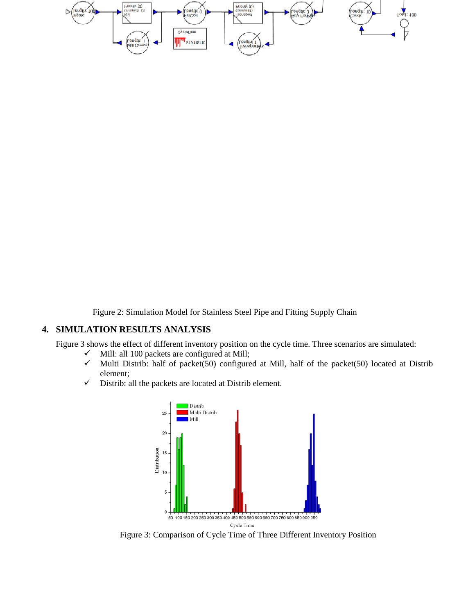

Figure 2: Simulation Model for Stainless Steel Pipe and Fitting Supply Chain

# **4. SIMULATION RESULTS ANALYSIS**

Figure 3 shows the effect of different inventory position on the cycle time. Three scenarios are simulated:

- $\checkmark$  Mill: all 100 packets are configured at Mill;<br> $\checkmark$  Multi Distrib: half of packet(50) configure
- Multi Distrib: half of packet(50) configured at Mill, half of the packet(50) located at Distrib element;
- $\checkmark$  Distrib: all the packets are located at Distrib element.



Figure 3: Comparison of Cycle Time of Three Different Inventory Position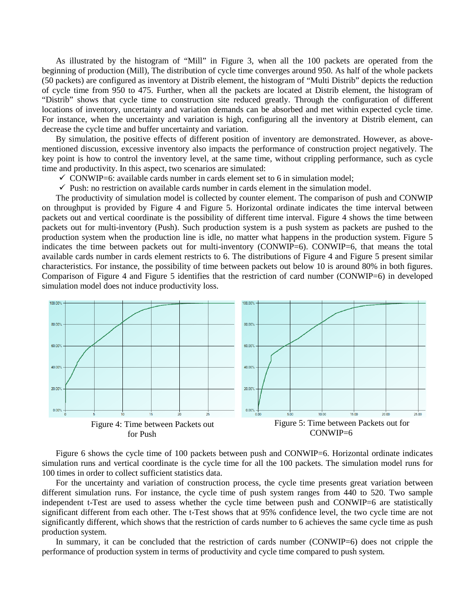As illustrated by the histogram of "Mill" in Figure 3, when all the 100 packets are operated from the beginning of production (Mill), The distribution of cycle time converges around 950. As half of the whole packets (50 packets) are configured as inventory at Distrib element, the histogram of "Multi Distrib" depicts the reduction of cycle time from 950 to 475. Further, when all the packets are located at Distrib element, the histogram of "Distrib" shows that cycle time to construction site reduced greatly. Through the configuration of different locations of inventory, uncertainty and variation demands can be absorbed and met within expected cycle time. For instance, when the uncertainty and variation is high, configuring all the inventory at Distrib element, can decrease the cycle time and buffer uncertainty and variation.

By simulation, the positive effects of different position of inventory are demonstrated. However, as abovementioned discussion, excessive inventory also impacts the performance of construction project negatively. The key point is how to control the inventory level, at the same time, without crippling performance, such as cycle time and productivity. In this aspect, two scenarios are simulated:

- $\checkmark$  CONWIP=6: available cards number in cards element set to 6 in simulation model;
- $\checkmark$  Push: no restriction on available cards number in cards element in the simulation model.

The productivity of simulation model is collected by counter element. The comparison of push and CONWIP on throughput is provided by Figure 4 and Figure 5. Horizontal ordinate indicates the time interval between packets out and vertical coordinate is the possibility of different time interval. Figure 4 shows the time between packets out for multi-inventory (Push). Such production system is a push system as packets are pushed to the production system when the production line is idle, no matter what happens in the production system. Figure 5 indicates the time between packets out for multi-inventory (CONWIP=6). CONWIP=6, that means the total available cards number in cards element restricts to 6. The distributions of Figure 4 and Figure 5 present similar characteristics. For instance, the possibility of time between packets out below 10 is around 80% in both figures. Comparison of Figure 4 and Figure 5 identifies that the restriction of card number (CONWIP=6) in developed simulation model does not induce productivity loss.



Figure 6 shows the cycle time of 100 packets between push and CONWIP=6. Horizontal ordinate indicates simulation runs and vertical coordinate is the cycle time for all the 100 packets. The simulation model runs for 100 times in order to collect sufficient statistics data.

For the uncertainty and variation of construction process, the cycle time presents great variation between different simulation runs. For instance, the cycle time of push system ranges from 440 to 520. Two sample independent t-Test are used to assess whether the cycle time between push and CONWIP=6 are statistically significant different from each other. The t-Test shows that at 95% confidence level, the two cycle time are not significantly different, which shows that the restriction of cards number to 6 achieves the same cycle time as push production system.

In summary, it can be concluded that the restriction of cards number (CONWIP=6) does not cripple the performance of production system in terms of productivity and cycle time compared to push system.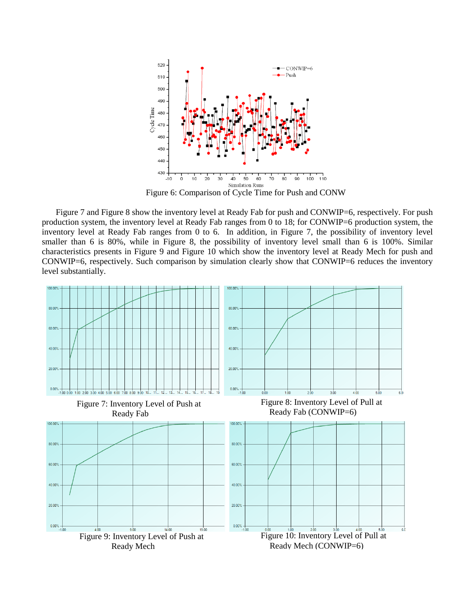

Figure 6: Comparison of Cycle Time for Push and CONW

Figure 7 and Figure 8 show the inventory level at Ready Fab for push and CONWIP=6, respectively. For push production system, the inventory level at Ready Fab ranges from 0 to 18; for CONWIP=6 production system, the inventory level at Ready Fab ranges from 0 to 6. In addition, in Figure 7, the possibility of inventory level smaller than 6 is 80%, while in Figure 8, the possibility of inventory level small than 6 is 100%. Similar characteristics presents in Figure 9 and Figure 10 which show the inventory level at Ready Mech for push and CONWIP=6, respectively. Such comparison by simulation clearly show that CONWIP=6 reduces the inventory level substantially.

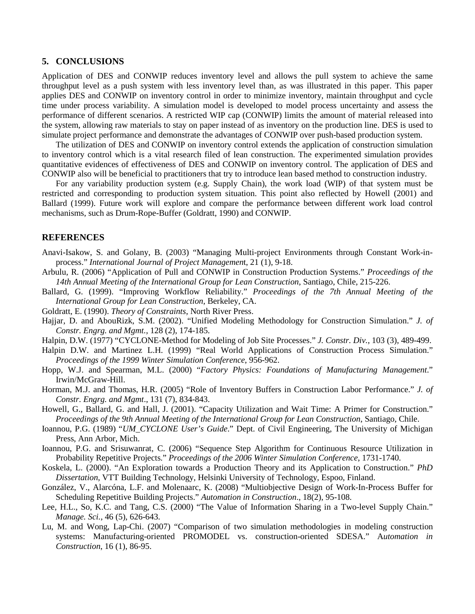#### **5. CONCLUSIONS**

Application of DES and CONWIP reduces inventory level and allows the pull system to achieve the same throughput level as a push system with less inventory level than, as was illustrated in this paper. This paper applies DES and CONWIP on inventory control in order to minimize inventory, maintain throughput and cycle time under process variability. A simulation model is developed to model process uncertainty and assess the performance of different scenarios. A restricted WIP cap (CONWIP) limits the amount of material released into the system, allowing raw materials to stay on paper instead of as inventory on the production line. DES is used to simulate project performance and demonstrate the advantages of CONWIP over push-based production system.

The utilization of DES and CONWIP on inventory control extends the application of construction simulation to inventory control which is a vital research filed of lean construction. The experimented simulation provides quantitative evidences of effectiveness of DES and CONWIP on inventory control. The application of DES and CONWIP also will be beneficial to practitioners that try to introduce lean based method to construction industry.

For any variability production system (e.g. Supply Chain), the work load (WIP) of that system must be restricted and corresponding to production system situation. This point also reflected by Howell (2001) and Ballard (1999). Future work will explore and compare the performance between different work load control mechanisms, such as Drum-Rope-Buffer (Goldratt, 1990) and CONWIP.

#### **REFERENCES**

- Anavi-Isakow, S. and Golany, B. (2003) "Managing Multi-project Environments through Constant Work-inprocess." *International Journal of Project Managemen*t, 21 (1), 9-18.
- Arbulu, R. (2006) "Application of Pull and CONWIP in Construction Production Systems." *Proceedings of the 14th Annual Meeting of the International Group for Lean Construction*, Santiago, Chile, 215-226.
- Ballard, G. (1999). "Improving Workflow Reliability." *Proceedings of the 7th Annual Meeting of the International Group for Lean Construction*, Berkeley, CA.
- Goldratt, E. (1990). *Theory of Constraints*, North River Press.
- Hajjar, D. and AbouRizk, S.M. (2002). "Unified Modeling Methodology for Construction Simulation." *J. of Constr. Engrg. and Mgmt.*, 128 (2), 174-185.
- Halpin, D.W. (1977) "CYCLONE-Method for Modeling of Job Site Processes." *J. Constr. Div.*, 103 (3), 489-499.
- Halpin D.W. and Martinez L.H. (1999) "Real World Applications of Construction Process Simulation." *Proceedings of the 1999 Winter Simulation Conference*, 956-962.
- Hopp, W.J. and Spearman, M.L. (2000) "*Factory Physics: Foundations of Manufacturing Management*." Irwin/McGraw-Hill.
- Horman, M.J. and Thomas, H.R. (2005) "Role of Inventory Buffers in Construction Labor Performance." *J. of Constr. Engrg. and Mgmt*., 131 (7), 834-843.
- Howell, G., Ballard, G. and Hall, J. (2001). "Capacity Utilization and Wait Time: A Primer for Construction." *Proceedings of the 9th Annual Meeting of the International Group for Lean Construction*, Santiago, Chile.
- Ioannou, P.G. (1989) "*UM\_CYCLONE User's Guide*." Dept. of Civil Engineering, The University of Michigan Press, Ann Arbor, Mich.
- Ioannou, P.G. and Srisuwanrat, C. (2006) "Sequence Step Algorithm for Continuous Resource Utilization in Probability Repetitive Projects." *Proceedings of the 2006 Winter Simulation Conference*, 1731-1740.
- Koskela, L. (2000). "An Exploration towards a Production Theory and its Application to Construction." *PhD Dissertation*, VTT Building Technology, Helsinki University of Technology, Espoo, Finland.
- González, V., Alarcóna, L.F. and Molenaarc, K. (2008) "Multiobjective Design of Work-In-Process Buffer for Scheduling Repetitive Building Projects." *Automation in Construction*., 18(2), 95-108.
- Lee, H.L., So, K.C. and Tang, C.S. (2000) "The Value of Information Sharing in a Two-level Supply Chain." *Manage. Sci.*, 46 (5), 626-643.
- Lu, M. and Wong, Lap-Chi. (2007) "Comparison of two simulation methodologies in modeling construction systems: Manufacturing-oriented PROMODEL vs. construction-oriented SDESA." A*utomation in Construction*, 16 (1), 86-95.